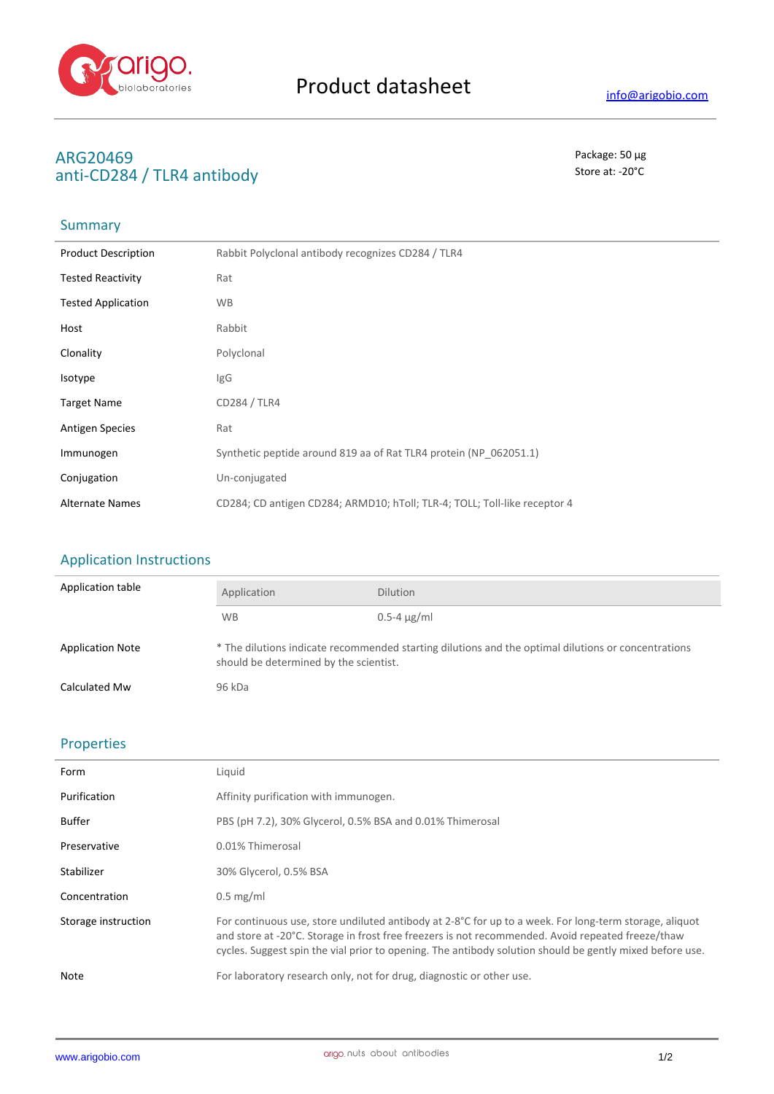

## **ARG20469** Package: 50 μg anti-CD284 / TLR4 antibody and state at  $\sim$  20°C

# Summary

| <b>Product Description</b> | Rabbit Polyclonal antibody recognizes CD284 / TLR4                        |
|----------------------------|---------------------------------------------------------------------------|
| <b>Tested Reactivity</b>   | Rat                                                                       |
| <b>Tested Application</b>  | <b>WB</b>                                                                 |
| Host                       | Rabbit                                                                    |
| Clonality                  | Polyclonal                                                                |
| Isotype                    | IgG                                                                       |
| <b>Target Name</b>         | CD284 / TLR4                                                              |
| <b>Antigen Species</b>     | Rat                                                                       |
| Immunogen                  | Synthetic peptide around 819 aa of Rat TLR4 protein (NP 062051.1)         |
| Conjugation                | Un-conjugated                                                             |
| <b>Alternate Names</b>     | CD284; CD antigen CD284; ARMD10; hToll; TLR-4; TOLL; Toll-like receptor 4 |

### Application Instructions

| Application table       | Application                                                                                                                                   | <b>Dilution</b>    |
|-------------------------|-----------------------------------------------------------------------------------------------------------------------------------------------|--------------------|
|                         | <b>WB</b>                                                                                                                                     | $0.5 - 4 \mu g/ml$ |
| <b>Application Note</b> | * The dilutions indicate recommended starting dilutions and the optimal dilutions or concentrations<br>should be determined by the scientist. |                    |
| Calculated Mw           | 96 kDa                                                                                                                                        |                    |

#### Properties

| Form                | Liquid                                                                                                                                                                                                                                                                                                                  |
|---------------------|-------------------------------------------------------------------------------------------------------------------------------------------------------------------------------------------------------------------------------------------------------------------------------------------------------------------------|
| Purification        | Affinity purification with immunogen.                                                                                                                                                                                                                                                                                   |
| <b>Buffer</b>       | PBS (pH 7.2), 30% Glycerol, 0.5% BSA and 0.01% Thimerosal                                                                                                                                                                                                                                                               |
| Preservative        | 0.01% Thimerosal                                                                                                                                                                                                                                                                                                        |
| Stabilizer          | 30% Glycerol, 0.5% BSA                                                                                                                                                                                                                                                                                                  |
| Concentration       | $0.5$ mg/ml                                                                                                                                                                                                                                                                                                             |
| Storage instruction | For continuous use, store undiluted antibody at 2-8°C for up to a week. For long-term storage, aliquot<br>and store at -20°C. Storage in frost free freezers is not recommended. Avoid repeated freeze/thaw<br>cycles. Suggest spin the vial prior to opening. The antibody solution should be gently mixed before use. |
| Note                | For laboratory research only, not for drug, diagnostic or other use.                                                                                                                                                                                                                                                    |